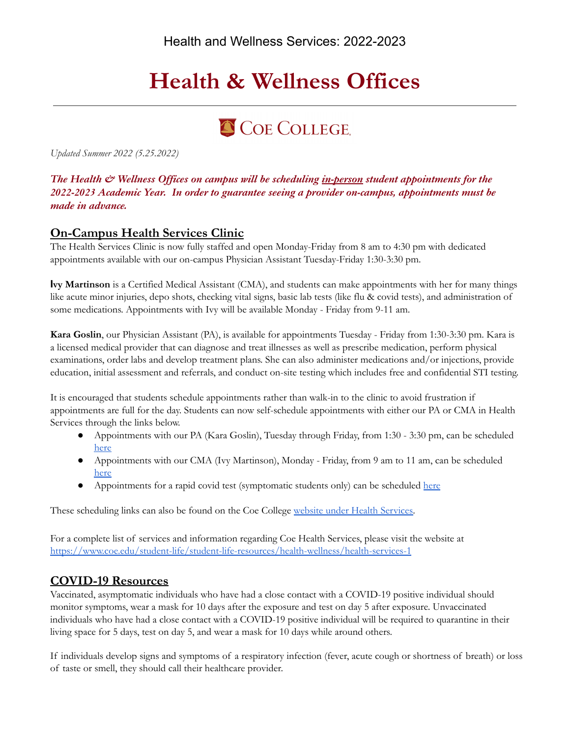# **Health & Wellness Offices**

## COE COLLEGE.

*Updated Summer 2022 (5.25.2022)*

## *The Health & Wellness Offices on campus will be scheduling in-person student appointments for the 2022-2023 Academic Year. In order to guarantee seeing a provider on-campus, appointments must be made in advance.*

## **On-Campus Health Services Clinic**

 appointments available with our on-campus Physician Assistant Tuesday-Friday 1:30-3:30 pm. The Health Services Clinic is now fully staffed and open Monday-Friday from 8 am to 4:30 pm with dedicated

 **Ivy Martinson** is a Certified Medical Assistant (CMA), and students can make appointments with her for many things like acute minor injuries, depo shots, checking vital signs, basic lab tests (like flu & covid tests), and administration of some medications. Appointments with Ivy will be available Monday - Friday from 9-11 am.

 **Kara Goslin**, our Physician Assistant (PA), is available for appointments Tuesday - Friday from 1:30-3:30 pm. Kara is a licensed medical provider that can diagnose and treat illnesses as well as prescribe medication, perform physical examinations, order labs and develop treatment plans. She can also administer medications and/or injections, provide education, initial assessment and referrals, and conduct on-site testing which includes free and confidential STI testing.

 It is encouraged that students schedule appointments rather than walk-in to the clinic to avoid frustration if appointments are full for the day. Students can now self-schedule appointments with either our PA or CMA in Health Services through the links below.

- ● Appointments with our PA (Kara Goslin), Tuesday through Friday, from 1:30 3:30 pm, can be scheduled [here](https://calendar.google.com/calendar/u/0/selfsched?sstoken=UUlXZXVDN2xadHE2fGRlZmF1bHR8YTM5OTJjZjY1ODdhZTAzZjNlYzEwMWUwNmNkODBmYmE)
- ● Appointments with our CMA (Ivy Martinson), Monday Friday, from 9 am to 11 am, can be scheduled [here](https://calendar.google.com/calendar/u/0/selfsched?sstoken=UUdBYlVYMjhjNTROfGRlZmF1bHR8ZjkyY2MyMmE1MGU2ZTNmM2Q2MDllZWNkYjM0NDA4Y2U)
- Appointments for a rapid covid test (symptomatic students only) can be scheduled [here](https://calendar.google.com/calendar/u/0/selfsched?sstoken=UUVLNGx3VjlLbElUfGRlZmF1bHR8MzEwNzUzYjFjYmQ5NWIyMjRhOWZiMDAxNTczN2IwM2U)

These scheduling links can also be found on the Coe College website under Health [Services.](https://www.coe.edu/student-life/student-life-resources/health-wellness/health-services-1)

 For a complete list of services and information regarding Coe Health Services, please visit the website at <https://www.coe.edu/student-life/student-life-resources/health-wellness/health-services-1>

## **COVID-19 Resources**

 monitor symptoms, wear a mask for 10 days after the exposure and test on day 5 after exposure. Unvaccinated individuals who have had a close contact with a COVID-19 positive individual will be required to quarantine in their living space for 5 days, test on day 5, and wear a mask for 10 days while around others. Vaccinated, asymptomatic individuals who have had a close contact with a COVID-19 positive individual should

 If individuals develop signs and symptoms of a respiratory infection (fever, acute cough or shortness of breath) or loss of taste or smell, they should call their healthcare provider.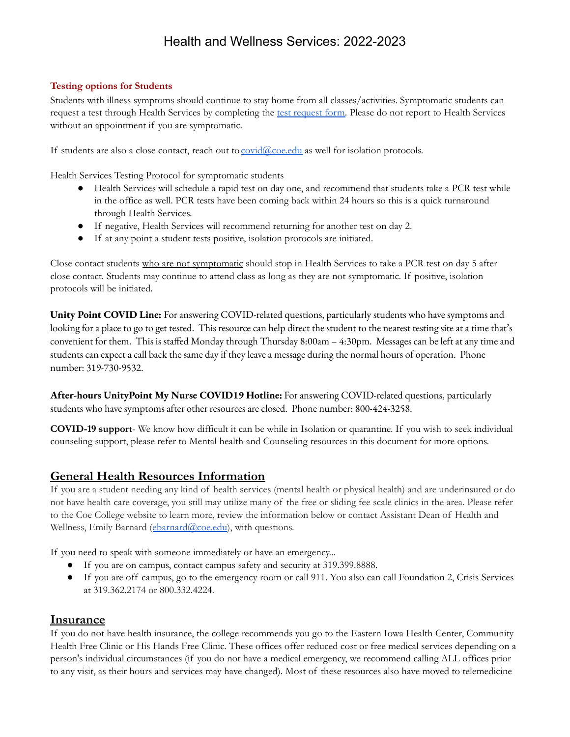## Health and Wellness Services: 2022-2023

#### **Testing options for Students**

 Students with illness symptoms should continue to stay home from all classes/activities. Symptomatic students can [request](https://docs.google.com/forms/d/e/1FAIpQLSek9N1iI1t5TmLs_KzaWGIsgopI8Qo_ytLwL_kLYjB9Qp4SCw/viewform?usp=sf_link) a test through Health Services by completing the test request form. Please do not report to Health Services without an appointment if you are symptomatic.

If students are also a close contact, reach out to covid@coe.edu as well for isolation protocols.

Health Services Testing Protocol for symptomatic students

- ● Health Services will schedule a rapid test on day one, and recommend that students take a PCR test while in the office as well. PCR tests have been coming back within 24 hours so this is a quick turnaround through Health Services.
- If negative, Health Services will recommend returning for another test on day 2.
- $\bullet$ If at any point a student tests positive, isolation protocols are initiated.

Close contact students who are not symptomatic should stop in Health Services to take a PCR test on day 5 after close contact. Students may continue to attend class as long as they are not symptomatic. If positive, isolation protocols will be initiated.

**Unity Point COVID Line:** For answering COVID-related questions, particularly students who have symptoms and looking for a place to go to get tested. This resource can help direct the student to the nearest testing site at a time that's convenient for them. This is staffed Monday through Thursday 8:00am – 4:30pm. Messages can be left at any time and students can expect a call back the same day if they leave a message during the normal hours of operation. Phone number: 319-730-9532.

**After-hours UnityPoint My Nurse COVID19 Hotline:** Foranswering COVID-related questions, particularly students who have symptoms after other resources are closed. Phone number: 800-424-3258.

 **COVID-19 support**- We know how difficult it can be while in Isolation or quarantine. If you wish to seek individual counseling support, please refer to Mental health and Counseling resources in this document for more options.

## **General Health Resources Information**

 not have health care coverage, you still may utilize many of the free or sliding fee scale clinics in the area. Please refer to the Coe College website to learn more, review the information below or contact Assistant Dean of Health and Wellness, Emily Barnard ([ebarnard@coe.edu](mailto:ebarnard@coe.edu)), with questions. If you are a student needing any kind of health services (mental health or physical health) and are underinsured or do

If you need to speak with someone immediately or have an emergency...

- If you are on campus, contact campus safety and security at 319.399.8888.
- $\bullet$  at 319.362.2174 or 800.332.4224. If you are off campus, go to the emergency room or call 911. You also can call Foundation 2, Crisis Services

## **Insurance**

 If you do not have health insurance, the college recommends you go to the Eastern Iowa Health Center, Community Health Free Clinic or His Hands Free Clinic. These offices offer reduced cost or free medical services depending on a person's individual circumstances (if you do not have a medical emergency, we recommend calling ALL offices prior to any visit, as their hours and services may have changed). Most of these resources also have moved to telemedicine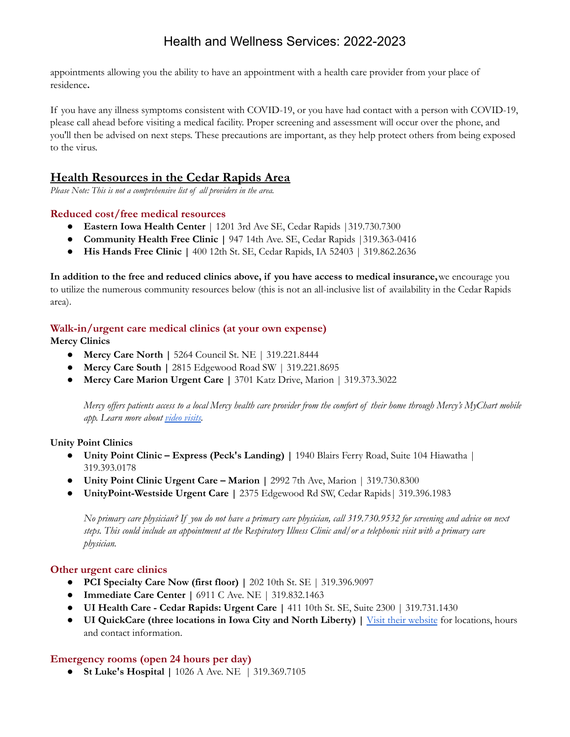## Health and Wellness Services: 2022-2023

 appointments allowing you the ability to have an appointment with a health care provider from your place of residence**.**

 If you have any illness symptoms consistent with COVID-19, or you have had contact with a person with COVID-19, please call ahead before visiting a medical facility. Proper screening and assessment will occur over the phone, and you'll then be advised on next steps. These precautions are important, as they help protect others from being exposed to the virus.

## **Health Resources in the Cedar Rapids Area**

*Please Note: This is not a comprehensive list of all providers in the area.*

#### **Reduced cost/free medical resources**

- **Eastern Iowa Health Center** | 1201 3rd Ave SE, Cedar Rapids |319.730.7300
- **Community Health Free Clinic |** 947 14th Ave. SE, Cedar Rapids |319.363-0416
- **His Hands Free Clinic |** 400 12th St. SE, Cedar Rapids, IA 52403 | 319.862.2636

 **In addition to the free and reduced clinics above, if you have access to medical insurance,**we encourage you to utilize the numerous community resources below (this is not an all-inclusive list of availability in the Cedar Rapids area).

#### **Walk-in/urgent care medical clinics (at your own expense)**

**Mercy Clinics**

- **● Mercy Care North |** 5264 Council St. NE | 319.221.8444
- **● Mercy Care South |** 2815 Edgewood Road SW | 319.221.8695
- **● Mercy Care Marion Urgent Care |** 3701 Katz Drive, Marion | 319.373.3022

Mercy offers patients access to a local Mercy health care provider from the comfort of their home through Mercy's MyChart mobile *app. Learn more about video [visits.](https://www.mercycare.org/services/video-visit/)*

#### **Unity Point Clinics**

- **● Unity Point Clinic – Express (Peck's Landing) |** 1940 Blairs Ferry Road, Suite 104 Hiawatha | 319.393.0178
- **● Unity Point Clinic Urgent Care – Marion |** 2992 7th Ave, Marion | 319.730.8300
- **UnityPoint-Westside Urgent Care |** 2375 Edgewood Rd SW, Cedar Rapids| 319.396.1983

No primary care physician? If you do not have a primary care physician, call 319.730.9532 for screening and advice on next steps. This could include an appointment at the Respiratory Illness Clinic and/or a telephonic visit with a primary care *physician.*

#### **Other urgent care clinics**

- **● PCI Specialty Care Now (first floor) |** 202 10th St. SE | 319.396.9097
- **● Immediate Care Center |** 6911 C Ave. NE | 319.832.1463
- **● UI Health Care Cedar Rapids: Urgent Care |** 411 10th St. SE, Suite 2300 | 319.731.1430
- **● UI QuickCare (three locations in Iowa City and North Liberty) |** Visit their website for [locations,](https://uihc.org/ui-quickcare) hours and contact [information.](https://uihc.org/ui-quickcare)

#### **Emergency rooms (open 24 hours per day)**

● **St Luke's Hospital |** 1026 A Ave. NE | 319.369.7105